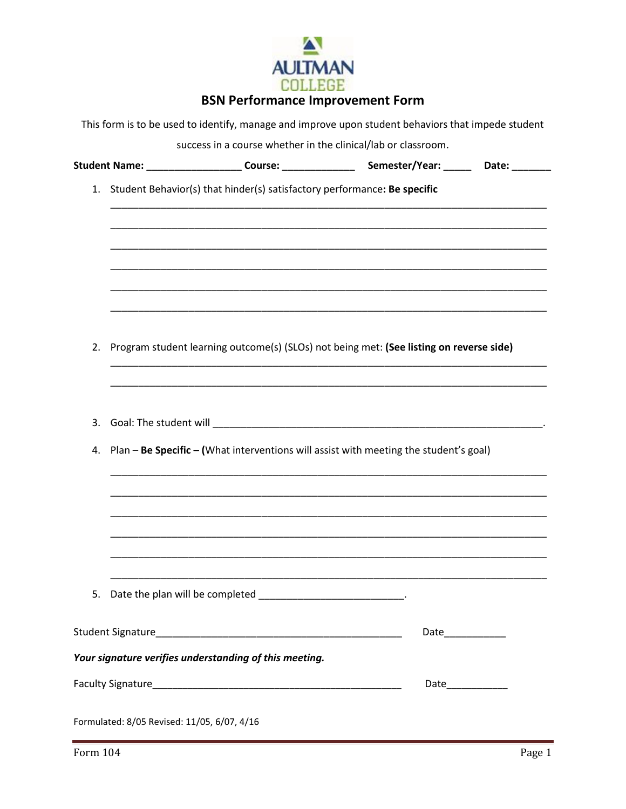

## **BSN Performance Improvement Form**

This form is to be used to identify, manage and improve upon student behaviors that impede student

|    |                                                                                         | success in a course whether in the clinical/lab or classroom. |  |  |                                                                                       |  |                                                                                                                      |  |
|----|-----------------------------------------------------------------------------------------|---------------------------------------------------------------|--|--|---------------------------------------------------------------------------------------|--|----------------------------------------------------------------------------------------------------------------------|--|
|    |                                                                                         |                                                               |  |  |                                                                                       |  | Student Name: ______________________Course: ___________________________Semester/Year: _______________Date: _________ |  |
|    | 1. Student Behavior(s) that hinder(s) satisfactory performance: Be specific             |                                                               |  |  |                                                                                       |  |                                                                                                                      |  |
|    |                                                                                         |                                                               |  |  |                                                                                       |  |                                                                                                                      |  |
|    |                                                                                         |                                                               |  |  |                                                                                       |  |                                                                                                                      |  |
|    |                                                                                         |                                                               |  |  |                                                                                       |  |                                                                                                                      |  |
| 2. | Program student learning outcome(s) (SLOs) not being met: (See listing on reverse side) |                                                               |  |  |                                                                                       |  |                                                                                                                      |  |
|    |                                                                                         |                                                               |  |  |                                                                                       |  |                                                                                                                      |  |
|    |                                                                                         |                                                               |  |  |                                                                                       |  |                                                                                                                      |  |
| 4. |                                                                                         |                                                               |  |  | Plan - Be Specific - (What interventions will assist with meeting the student's goal) |  |                                                                                                                      |  |
|    |                                                                                         |                                                               |  |  |                                                                                       |  |                                                                                                                      |  |
|    |                                                                                         |                                                               |  |  |                                                                                       |  |                                                                                                                      |  |
|    |                                                                                         |                                                               |  |  | 5. Date the plan will be completed ____________________________.                      |  |                                                                                                                      |  |
|    |                                                                                         |                                                               |  |  |                                                                                       |  | Date____________                                                                                                     |  |
|    |                                                                                         | Your signature verifies understanding of this meeting.        |  |  |                                                                                       |  |                                                                                                                      |  |
|    |                                                                                         |                                                               |  |  |                                                                                       |  | Date_____________                                                                                                    |  |
|    |                                                                                         | Formulated: 8/05 Revised: 11/05, 6/07, 4/16                   |  |  |                                                                                       |  |                                                                                                                      |  |